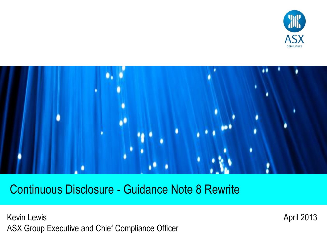



Continuous Disclosure - Guidance Note 8 Rewrite

Kevin Lewis ASX Group Executive and Chief Compliance Officer April 2013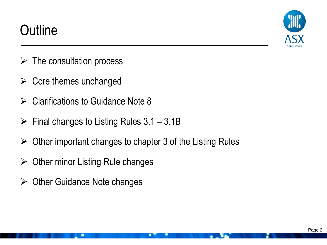## **Outline**



- $\triangleright$  The consultation process
- $\triangleright$  Core themes unchanged
- $\triangleright$  Clarifications to Guidance Note 8
- $\triangleright$  Final changes to Listing Rules 3.1 3.1B
- $\triangleright$  Other important changes to chapter 3 of the Listing Rules
- $\triangleright$  Other minor Listing Rule changes
- $\triangleright$  Other Guidance Note changes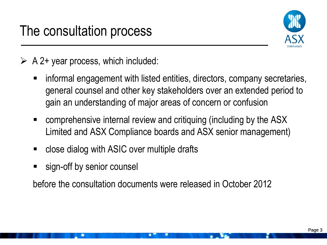

## $\triangleright$  A 2+ year process, which included:

- informal engagement with listed entities, directors, company secretaries, general counsel and other key stakeholders over an extended period to gain an understanding of major areas of concern or confusion
- comprehensive internal review and critiquing (including by the ASX Limited and ASX Compliance boards and ASX senior management)
- close dialog with ASIC over multiple drafts
- sign-off by senior counsel

before the consultation documents were released in October 2012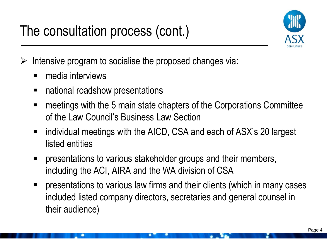## The consultation process (cont.)



 $\triangleright$  Intensive program to socialise the proposed changes via:

- media interviews
- national roadshow presentations
- meetings with the 5 main state chapters of the Corporations Committee of the Law Council's Business Law Section
- individual meetings with the AICD, CSA and each of ASX's 20 largest listed entities
- presentations to various stakeholder groups and their members, including the ACI, AIRA and the WA division of CSA
- presentations to various law firms and their clients (which in many cases included listed company directors, secretaries and general counsel in their audience)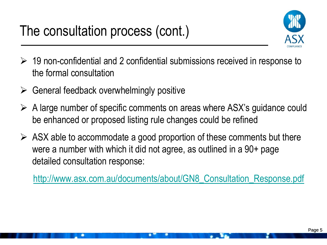

- $\geq$  19 non-confidential and 2 confidential submissions received in response to the formal consultation
- $\triangleright$  General feedback overwhelmingly positive
- $\triangleright$  A large number of specific comments on areas where ASX's guidance could be enhanced or proposed listing rule changes could be refined
- $\triangleright$  ASX able to accommodate a good proportion of these comments but there were a number with which it did not agree, as outlined in a 90+ page detailed consultation response:

[http://www.asx.com.au/documents/about/GN8\\_Consultation\\_Response.pdf](http://www.asx.com.au/documents/about/GN8_Consultation_Response.pdf)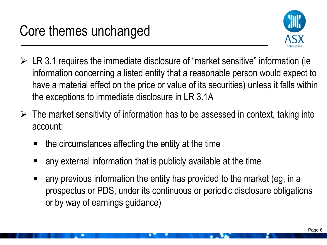

- $\triangleright$  LR 3.1 requires the immediate disclosure of "market sensitive" information (ie information concerning a listed entity that a reasonable person would expect to have a material effect on the price or value of its securities) unless it falls within the exceptions to immediate disclosure in LR 3.1A
- $\triangleright$  The market sensitivity of information has to be assessed in context, taking into account:
	- the circumstances affecting the entity at the time
	- any external information that is publicly available at the time
	- any previous information the entity has provided to the market (eg, in a prospectus or PDS, under its continuous or periodic disclosure obligations or by way of earnings guidance)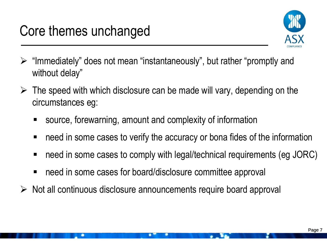

- $\triangleright$  "Immediately" does not mean "instantaneously", but rather "promptly and without delay"
- $\triangleright$  The speed with which disclosure can be made will vary, depending on the circumstances eg:
	- source, forewarning, amount and complexity of information
	- need in some cases to verify the accuracy or bona fides of the information
	- need in some cases to comply with legal/technical requirements (eg JORC)
	- need in some cases for board/disclosure committee approval
- $\triangleright$  Not all continuous disclosure announcements require board approval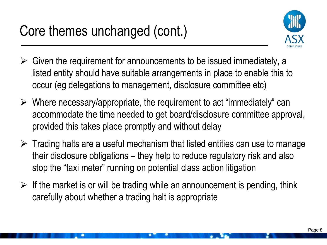

- $\triangleright$  Given the requirement for announcements to be issued immediately, a listed entity should have suitable arrangements in place to enable this to occur (eg delegations to management, disclosure committee etc)
- $\triangleright$  Where necessary/appropriate, the requirement to act "immediately" can accommodate the time needed to get board/disclosure committee approval, provided this takes place promptly and without delay
- $\triangleright$  Trading halts are a useful mechanism that listed entities can use to manage their disclosure obligations – they help to reduce regulatory risk and also stop the "taxi meter" running on potential class action litigation
- $\triangleright$  If the market is or will be trading while an announcement is pending, think carefully about whether a trading halt is appropriate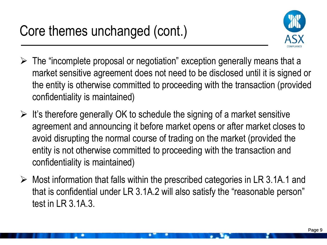

- $\triangleright$  The "incomplete proposal or negotiation" exception generally means that a market sensitive agreement does not need to be disclosed until it is signed or the entity is otherwise committed to proceeding with the transaction (provided confidentiality is maintained)
- $\triangleright$  It's therefore generally OK to schedule the signing of a market sensitive agreement and announcing it before market opens or after market closes to avoid disrupting the normal course of trading on the market (provided the entity is not otherwise committed to proceeding with the transaction and confidentiality is maintained)
- $\triangleright$  Most information that falls within the prescribed categories in LR 3.1A.1 and that is confidential under LR 3.1A.2 will also satisfy the "reasonable person" test in LR 3.1A.3.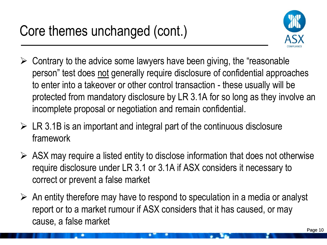

- $\triangleright$  Contrary to the advice some lawyers have been giving, the "reasonable" person" test does not generally require disclosure of confidential approaches to enter into a takeover or other control transaction - these usually will be protected from mandatory disclosure by LR 3.1A for so long as they involve an incomplete proposal or negotiation and remain confidential.
- $\triangleright$  LR 3.1B is an important and integral part of the continuous disclosure framework
- $\triangleright$  ASX may require a listed entity to disclose information that does not otherwise require disclosure under LR 3.1 or 3.1A if ASX considers it necessary to correct or prevent a false market
- $\triangleright$  An entity therefore may have to respond to speculation in a media or analyst report or to a market rumour if ASX considers that it has caused, or may cause, a false market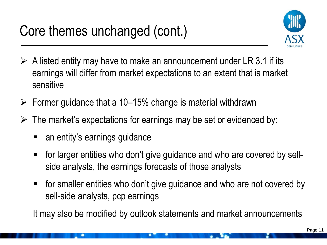

- $\triangleright$  A listed entity may have to make an announcement under LR 3.1 if its earnings will differ from market expectations to an extent that is market sensitive
- $\triangleright$  Former guidance that a 10–15% change is material withdrawn
- $\triangleright$  The market's expectations for earnings may be set or evidenced by:
	- an entity's earnings guidance
	- for larger entities who don't give guidance and who are covered by sellside analysts, the earnings forecasts of those analysts
	- for smaller entities who don't give guidance and who are not covered by sell-side analysts, pcp earnings

It may also be modified by outlook statements and market announcements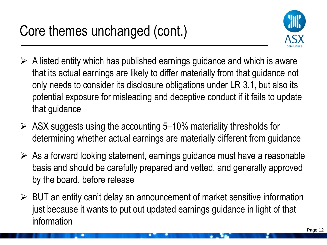

- $\triangleright$  A listed entity which has published earnings guidance and which is aware that its actual earnings are likely to differ materially from that guidance not only needs to consider its disclosure obligations under LR 3.1, but also its potential exposure for misleading and deceptive conduct if it fails to update that guidance
- $\triangleright$  ASX suggests using the accounting 5–10% materiality thresholds for determining whether actual earnings are materially different from guidance
- $\triangleright$  As a forward looking statement, earnings guidance must have a reasonable basis and should be carefully prepared and vetted, and generally approved by the board, before release
- $\triangleright$  BUT an entity can't delay an announcement of market sensitive information just because it wants to put out updated earnings guidance in light of that information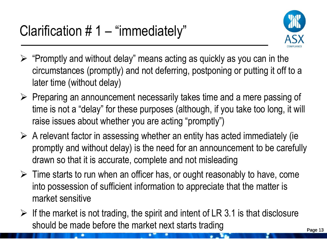

- $\triangleright$  "Promptly and without delay" means acting as quickly as you can in the circumstances (promptly) and not deferring, postponing or putting it off to a later time (without delay)
- $\triangleright$  Preparing an announcement necessarily takes time and a mere passing of time is not a "delay" for these purposes (although, if you take too long, it will raise issues about whether you are acting "promptly")
- $\triangleright$  A relevant factor in assessing whether an entity has acted immediately (ie promptly and without delay) is the need for an announcement to be carefully drawn so that it is accurate, complete and not misleading
- $\triangleright$  Time starts to run when an officer has, or ought reasonably to have, come into possession of sufficient information to appreciate that the matter is market sensitive
- $\triangleright$  If the market is not trading, the spirit and intent of LR 3.1 is that disclosure should be made before the market next starts trading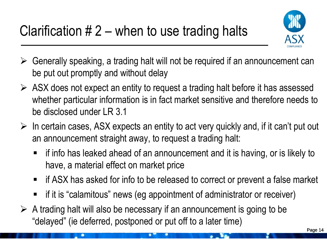

- $\triangleright$  Generally speaking, a trading halt will not be required if an announcement can be put out promptly and without delay
- $\triangleright$  ASX does not expect an entity to request a trading halt before it has assessed whether particular information is in fact market sensitive and therefore needs to be disclosed under LR 3.1
- $\triangleright$  In certain cases, ASX expects an entity to act very quickly and, if it can't put out an announcement straight away, to request a trading halt:
	- if info has leaked ahead of an announcement and it is having, or is likely to have, a material effect on market price
	- if ASX has asked for info to be released to correct or prevent a false market
	- if it is "calamitous" news (eg appointment of administrator or receiver)
- $\triangleright$  A trading halt will also be necessary if an announcement is going to be "delayed" (ie deferred, postponed or put off to a later time)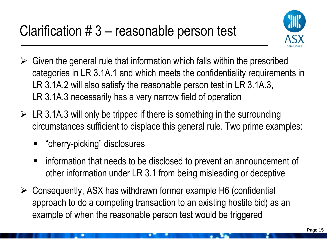

- $\triangleright$  Given the general rule that information which falls within the prescribed categories in LR 3.1A.1 and which meets the confidentiality requirements in LR 3.1A.2 will also satisfy the reasonable person test in LR 3.1A.3, LR 3.1A.3 necessarily has a very narrow field of operation
- $\triangleright$  LR 3.1A.3 will only be tripped if there is something in the surrounding circumstances sufficient to displace this general rule. Two prime examples:
	- "cherry-picking" disclosures
	- information that needs to be disclosed to prevent an announcement of other information under LR 3.1 from being misleading or deceptive
- Consequently, ASX has withdrawn former example H6 (confidential approach to do a competing transaction to an existing hostile bid) as an example of when the reasonable person test would be triggered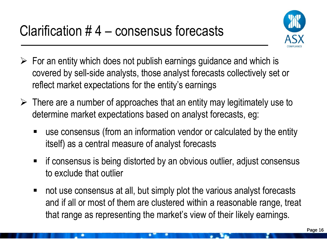

- $\triangleright$  For an entity which does not publish earnings guidance and which is covered by sell-side analysts, those analyst forecasts collectively set or reflect market expectations for the entity's earnings
- $\triangleright$  There are a number of approaches that an entity may legitimately use to determine market expectations based on analyst forecasts, eg:
	- use consensus (from an information vendor or calculated by the entity itself) as a central measure of analyst forecasts
	- if consensus is being distorted by an obvious outlier, adjust consensus to exclude that outlier
	- not use consensus at all, but simply plot the various analyst forecasts and if all or most of them are clustered within a reasonable range, treat that range as representing the market's view of their likely earnings.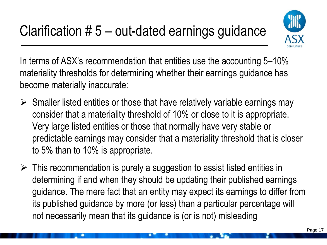

In terms of ASX's recommendation that entities use the accounting 5–10% materiality thresholds for determining whether their earnings guidance has become materially inaccurate:

- $\triangleright$  Smaller listed entities or those that have relatively variable earnings may consider that a materiality threshold of 10% or close to it is appropriate. Very large listed entities or those that normally have very stable or predictable earnings may consider that a materiality threshold that is closer to 5% than to 10% is appropriate.
- $\triangleright$  This recommendation is purely a suggestion to assist listed entities in determining if and when they should be updating their published earnings guidance. The mere fact that an entity may expect its earnings to differ from its published guidance by more (or less) than a particular percentage will not necessarily mean that its guidance is (or is not) misleading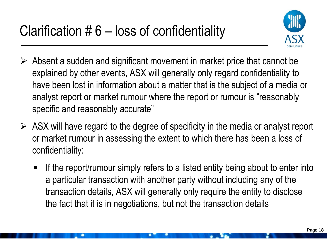

- $\triangleright$  Absent a sudden and significant movement in market price that cannot be explained by other events, ASX will generally only regard confidentiality to have been lost in information about a matter that is the subject of a media or analyst report or market rumour where the report or rumour is "reasonably specific and reasonably accurate"
- $\triangleright$  ASX will have regard to the degree of specificity in the media or analyst report or market rumour in assessing the extent to which there has been a loss of confidentiality:
	- If the report/rumour simply refers to a listed entity being about to enter into a particular transaction with another party without including any of the transaction details, ASX will generally only require the entity to disclose the fact that it is in negotiations, but not the transaction details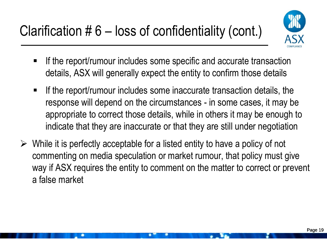

- If the report/rumour includes some specific and accurate transaction details, ASX will generally expect the entity to confirm those details
- $\blacksquare$  If the report/rumour includes some inaccurate transaction details, the response will depend on the circumstances - in some cases, it may be appropriate to correct those details, while in others it may be enough to indicate that they are inaccurate or that they are still under negotiation
- $\triangleright$  While it is perfectly acceptable for a listed entity to have a policy of not commenting on media speculation or market rumour, that policy must give way if ASX requires the entity to comment on the matter to correct or prevent a false market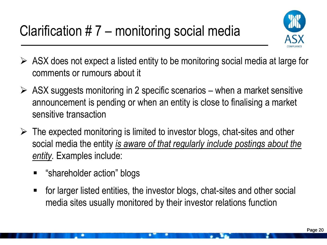

- $\triangleright$  ASX does not expect a listed entity to be monitoring social media at large for comments or rumours about it
- $\triangleright$  ASX suggests monitoring in 2 specific scenarios when a market sensitive announcement is pending or when an entity is close to finalising a market sensitive transaction
- $\triangleright$  The expected monitoring is limited to investor blogs, chat-sites and other social media the entity *is aware of that regularly include postings about the entity.* Examples include:
	- "shareholder action" blogs
	- for larger listed entities, the investor blogs, chat-sites and other social media sites usually monitored by their investor relations function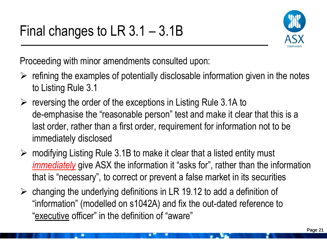

Proceeding with minor amendments consulted upon:

- $\triangleright$  refining the examples of potentially disclosable information given in the notes to Listing Rule 3.1
- $\triangleright$  reversing the order of the exceptions in Listing Rule 3.1A to de-emphasise the "reasonable person" test and make it clear that this is a last order, rather than a first order, requirement for information not to be immediately disclosed
- $\triangleright$  modifying Listing Rule 3.1B to make it clear that a listed entity must *immediately* give ASX the information it "asks for", rather than the information that is "necessary", to correct or prevent a false market in its securities
- $\triangleright$  changing the underlying definitions in LR 19.12 to add a definition of "information" (modelled on s1042A) and fix the out-dated reference to "executive officer" in the definition of "aware"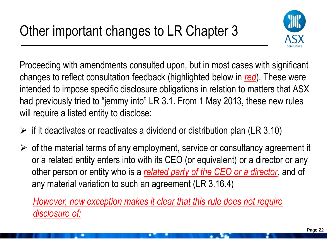

Proceeding with amendments consulted upon, but in most cases with significant changes to reflect consultation feedback (highlighted below in *red*). These were intended to impose specific disclosure obligations in relation to matters that ASX had previously tried to "jemmy into" LR 3.1. From 1 May 2013, these new rules will require a listed entity to disclose:

- $\triangleright$  if it deactivates or reactivates a dividend or distribution plan (LR 3.10)
- $\triangleright$  of the material terms of any employment, service or consultancy agreement it or a related entity enters into with its CEO (or equivalent) or a director or any other person or entity who is a *related party of the CEO or a director*, and of any material variation to such an agreement (LR 3.16.4)

*However, new exception makes it clear that this rule does not require disclosure of:*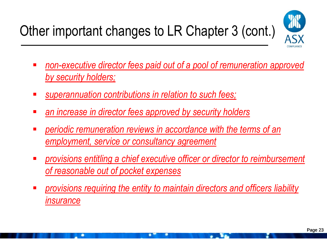

- *non-executive director fees paid out of a pool of remuneration approved by security holders;*
- *superannuation contributions in relation to such fees;*
- *an increase in director fees approved by security holders*
- *periodic remuneration reviews in accordance with the terms of an employment, service or consultancy agreement*
- *provisions entitling a chief executive officer or director to reimbursement of reasonable out of pocket expenses*
- *provisions requiring the entity to maintain directors and officers liability insurance*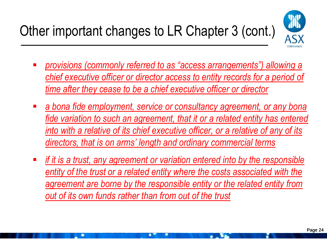

- *provisions (commonly referred to as "access arrangements") allowing a chief executive officer or director access to entity records for a period of time after they cease to be a chief executive officer or director*
- *a bona fide employment, service or consultancy agreement, or any bona fide variation to such an agreement, that it or a related entity has entered into with a relative of its chief executive officer, or a relative of any of its directors, that is on arms' length and ordinary commercial terms*
- *if it is a trust, any agreement or variation entered into by the responsible entity of the trust or a related entity where the costs associated with the agreement are borne by the responsible entity or the related entity from out of its own funds rather than from out of the trust*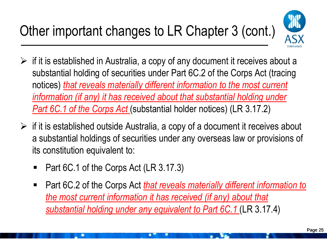

- $\triangleright$  if it is established in Australia, a copy of any document it receives about a substantial holding of securities under Part 6C.2 of the Corps Act (tracing notices) *that reveals materially different information to the most current information (if any) it has received about that substantial holding under Part 6C.1 of the Corps Act* (substantial holder notices) (LR 3.17.2)
- $\triangleright$  if it is established outside Australia, a copy of a document it receives about a substantial holdings of securities under any overseas law or provisions of its constitution equivalent to:
	- Part 6C.1 of the Corps Act (LR 3.17.3)
	- Part 6C.2 of the Corps Act *that reveals materially different information to the most current information it has received (if any) about that substantial holding under any equivalent to Part 6C.1* (LR 3.17.4)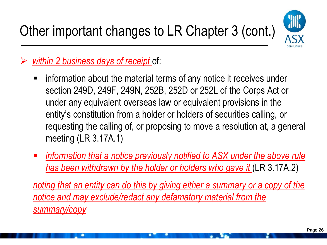

*within 2 business days of receipt* of:

- **EXTERUTE:** information about the material terms of any notice it receives under section 249D, 249F, 249N, 252B, 252D or 252L of the Corps Act or under any equivalent overseas law or equivalent provisions in the entity's constitution from a holder or holders of securities calling, or requesting the calling of, or proposing to move a resolution at, a general meeting (LR 3.17A.1)
- *information that a notice previously notified to ASX under the above rule has been withdrawn by the holder or holders who gave it* (LR 3.17A.2)

*noting that an entity can do this by giving either a summary or a copy of the notice and may exclude/redact any defamatory material from the summary/copy*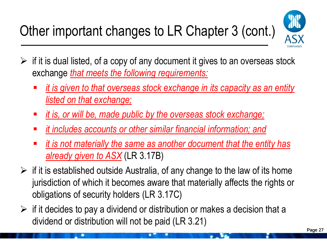

- $\triangleright$  if it is dual listed, of a copy of any document it gives to an overseas stock exchange *that meets the following requirements:*
	- *it is given to that overseas stock exchange in its capacity as an entity listed on that exchange;*
	- *it is, or will be, made public by the overseas stock exchange;*
	- *it includes accounts or other similar financial information; and*
	- *it is not materially the same as another document that the entity has already given to ASX* (LR 3.17B)
- $\triangleright$  if it is established outside Australia, of any change to the law of its home jurisdiction of which it becomes aware that materially affects the rights or obligations of security holders (LR 3.17C)
- $\triangleright$  if it decides to pay a dividend or distribution or makes a decision that a dividend or distribution will not be paid (LR 3.21)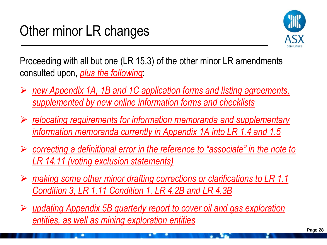

Proceeding with all but one (LR 15.3) of the other minor LR amendments consulted upon, *plus the following*:

- *new Appendix 1A, 1B and 1C application forms and listing agreements, supplemented by new online information forms and checklists*
- *relocating requirements for information memoranda and supplementary information memoranda currently in Appendix 1A into LR 1.4 and 1.5*
- *correcting a definitional error in the reference to "associate" in the note to LR 14.11 (voting exclusion statements)*
- *making some other minor drafting corrections or clarifications to LR 1.1 Condition 3, LR 1.11 Condition 1, LR 4.2B and LR 4.3B*
- *updating Appendix 5B quarterly report to cover oil and gas exploration entities, as well as mining exploration entities*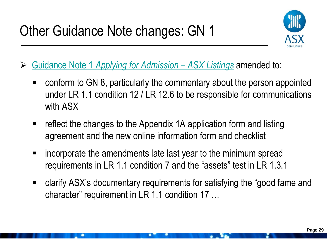

- [Guidance Note](http://www.asx.com.au/documents/about/guidance-note-1-compare.pdf) [1](http://www.asx.com.au/documents/about/guidance-note-1-compare.pdf) *[Applying for Admission](http://www.asx.com.au/documents/about/guidance-note-1-compare.pdf) [–](http://www.asx.com.au/documents/about/guidance-note-1-compare.pdf) [ASX Listings](http://www.asx.com.au/documents/about/guidance-note-1-compare.pdf)* amended to:
	- conform to GN 8, particularly the commentary about the person appointed under LR 1.1 condition 12 / LR 12.6 to be responsible for communications with ASX
	- reflect the changes to the Appendix 1A application form and listing agreement and the new online information form and checklist
	- incorporate the amendments late last year to the minimum spread requirements in LR 1.1 condition 7 and the "assets" test in LR 1.3.1
	- clarify ASX's documentary requirements for satisfying the "good fame and character" requirement in LR 1.1 condition 17 …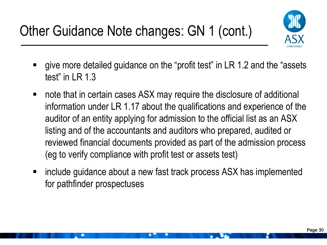

- give more detailed guidance on the "profit test" in LR 1.2 and the "assets test" in LR 1.3
- note that in certain cases ASX may require the disclosure of additional information under LR 1.17 about the qualifications and experience of the auditor of an entity applying for admission to the official list as an ASX listing and of the accountants and auditors who prepared, audited or reviewed financial documents provided as part of the admission process (eg to verify compliance with profit test or assets test)
- include guidance about a new fast track process ASX has implemented for pathfinder prospectuses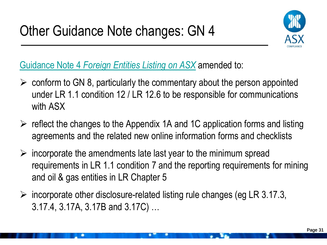

[Guidance Note](http://www.asx.com.au/documents/about/guidance-note-4-compare.pdf) [4](http://www.asx.com.au/documents/about/guidance-note-4-compare.pdf) *[Foreign Entities Listing on ASX](http://www.asx.com.au/documents/about/guidance-note-4-compare.pdf)* amended to:

- $\triangleright$  conform to GN 8, particularly the commentary about the person appointed under LR 1.1 condition 12 / LR 12.6 to be responsible for communications with ASX
- $\triangleright$  reflect the changes to the Appendix 1A and 1C application forms and listing agreements and the related new online information forms and checklists
- $\triangleright$  incorporate the amendments late last year to the minimum spread requirements in LR 1.1 condition 7 and the reporting requirements for mining and oil & gas entities in LR Chapter 5
- $\triangleright$  incorporate other disclosure-related listing rule changes (eg LR 3.17.3, 3.17.4, 3.17A, 3.17B and 3.17C) …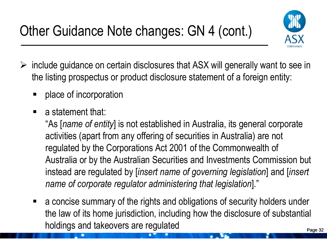

- $\triangleright$  include guidance on certain disclosures that ASX will generally want to see in the listing prospectus or product disclosure statement of a foreign entity:
	- place of incorporation
	- $\blacksquare$  a statement that:

"As [*name of entity*] is not established in Australia, its general corporate activities (apart from any offering of securities in Australia) are not regulated by the Corporations Act 2001 of the Commonwealth of Australia or by the Australian Securities and Investments Commission but instead are regulated by [*insert name of governing legislation*] and [*insert name of corporate regulator administering that legislation*]."

 a concise summary of the rights and obligations of security holders under the law of its home jurisdiction, including how the disclosure of substantial holdings and takeovers are regulated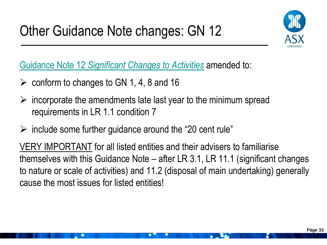

[Guidance Note](http://www.asx.com.au/documents/about/guidance-note-12-compare.pdf) [12](http://www.asx.com.au/documents/about/guidance-note-12-compare.pdf) *[Significant Changes to Activities](http://www.asx.com.au/documents/about/guidance-note-12-compare.pdf)* amended to:

- $\geq$  conform to changes to GN 1, 4, 8 and 16
- $\triangleright$  incorporate the amendments late last year to the minimum spread requirements in LR 1.1 condition 7
- $\triangleright$  include some further guidance around the "20 cent rule"

VERY IMPORTANT for all listed entities and their advisers to familiarise themselves with this Guidance Note – after LR 3.1, LR 11.1 (significant changes to nature or scale of activities) and 11.2 (disposal of main undertaking) generally cause the most issues for listed entities!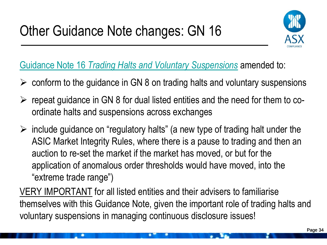

[Guidance Note](http://www.asx.com.au/documents/about/guidance-note-16-compare.pdf) [16](http://www.asx.com.au/documents/about/guidance-note-16-compare.pdf) *[Trading Halts and Voluntary Suspensions](http://www.asx.com.au/documents/about/guidance-note-16-compare.pdf)* amended to:

- $\triangleright$  conform to the guidance in GN 8 on trading halts and voluntary suspensions
- $\triangleright$  repeat guidance in GN 8 for dual listed entities and the need for them to coordinate halts and suspensions across exchanges
- $\triangleright$  include guidance on "regulatory halts" (a new type of trading halt under the ASIC Market Integrity Rules, where there is a pause to trading and then an auction to re-set the market if the market has moved, or but for the application of anomalous order thresholds would have moved, into the "extreme trade range")

VERY IMPORTANT for all listed entities and their advisers to familiarise themselves with this Guidance Note, given the important role of trading halts and voluntary suspensions in managing continuous disclosure issues!